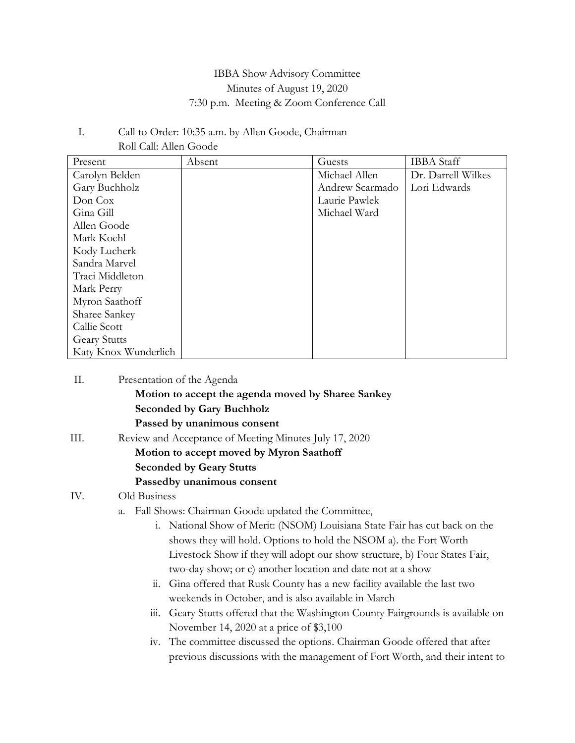### IBBA Show Advisory Committee Minutes of August 19, 2020 7:30 p.m. Meeting & Zoom Conference Call

#### I. Call to Order: 10:35 a.m. by Allen Goode, Chairman Roll Call: Allen Goode

| Present              | Absent | Guests          | <b>IBBA</b> Staff  |
|----------------------|--------|-----------------|--------------------|
| Carolyn Belden       |        | Michael Allen   | Dr. Darrell Wilkes |
| Gary Buchholz        |        | Andrew Scarmado | Lori Edwards       |
| Don Cox              |        | Laurie Pawlek   |                    |
| Gina Gill            |        | Michael Ward    |                    |
| Allen Goode          |        |                 |                    |
| Mark Koehl           |        |                 |                    |
| Kody Lucherk         |        |                 |                    |
| Sandra Marvel        |        |                 |                    |
| Traci Middleton      |        |                 |                    |
| Mark Perry           |        |                 |                    |
| Myron Saathoff       |        |                 |                    |
| Sharee Sankey        |        |                 |                    |
| Callie Scott         |        |                 |                    |
| <b>Geary Stutts</b>  |        |                 |                    |
| Katy Knox Wunderlich |        |                 |                    |

| II.  | Presentation of the Agenda                                                 |
|------|----------------------------------------------------------------------------|
|      | Motion to accept the agenda moved by Sharee Sankey                         |
|      | <b>Seconded by Gary Buchholz</b>                                           |
|      | Passed by unanimous consent                                                |
| III. | Review and Acceptance of Meeting Minutes July 17, 2020                     |
|      | Motion to accept moved by Myron Saathoff                                   |
|      | <b>Seconded by Geary Stutts</b>                                            |
|      | Passedby unanimous consent                                                 |
| IV.  | Old Business                                                               |
|      | Fall Shows: Chairman Goode updated the Committee,<br>a.                    |
|      | i. National Show of Merit: (NSOM) Louisiana State Fair has cut back on the |
|      | shows they will hold. Options to hold the NSOM a). the Fort Worth          |
|      | Livestock Show if they will adopt our show structure, b) Four States Fair, |
|      | two-day show; or c) another location and date not at a show                |

- ii. Gina offered that Rusk County has a new facility available the last two weekends in October, and is also available in March
- iii. Geary Stutts offered that the Washington County Fairgrounds is available on November 14, 2020 at a price of \$3,100

iv. The committee discussed the options. Chairman Goode offered that after previous discussions with the management of Fort Worth, and their intent to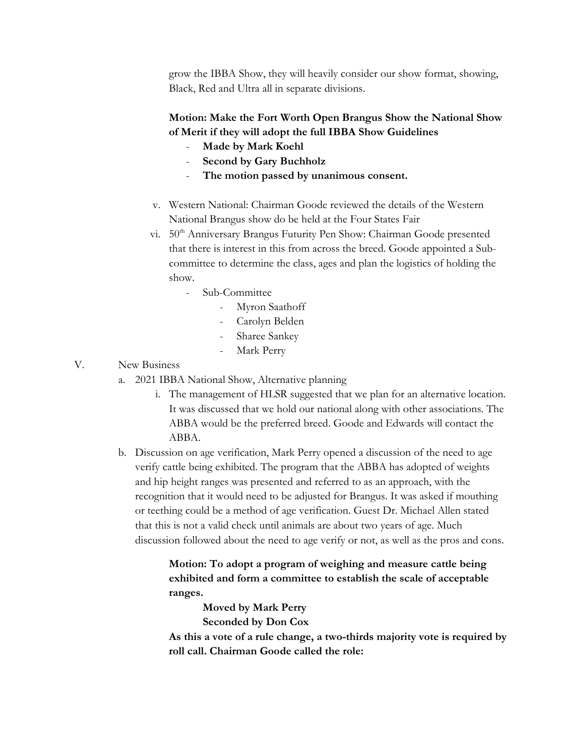grow the IBBA Show, they will heavily consider our show format, showing, Black, Red and Ultra all in separate divisions.

### **Motion: Make the Fort Worth Open Brangus Show the National Show of Merit if they will adopt the full IBBA Show Guidelines**

- **Made by Mark Koehl**
- **Second by Gary Buchholz**
- The motion passed by unanimous consent.
- v. Western National: Chairman Goode reviewed the details of the Western National Brangus show do be held at the Four States Fair
- vi. 50<sup>th</sup> Anniversary Brangus Futurity Pen Show: Chairman Goode presented that there is interest in this from across the breed. Goode appointed a Subcommittee to determine the class, ages and plan the logistics of holding the show.
	- Sub-Committee
		- Myron Saathoff
		- Carolyn Belden
		- Sharee Sankey
		- Mark Perry

#### V. New Business

- a. 2021 IBBA National Show, Alternative planning
	- i. The management of HLSR suggested that we plan for an alternative location. It was discussed that we hold our national along with other associations. The ABBA would be the preferred breed. Goode and Edwards will contact the ABBA.
- b. Discussion on age verification, Mark Perry opened a discussion of the need to age verify cattle being exhibited. The program that the ABBA has adopted of weights and hip height ranges was presented and referred to as an approach, with the recognition that it would need to be adjusted for Brangus. It was asked if mouthing or teething could be a method of age verification. Guest Dr. Michael Allen stated that this is not a valid check until animals are about two years of age. Much discussion followed about the need to age verify or not, as well as the pros and cons.

# **Motion: To adopt a program of weighing and measure cattle being exhibited and form a committee to establish the scale of acceptable ranges.**

**Moved by Mark Perry Seconded by Don Cox**

**As this a vote of a rule change, a two-thirds majority vote is required by roll call. Chairman Goode called the role:**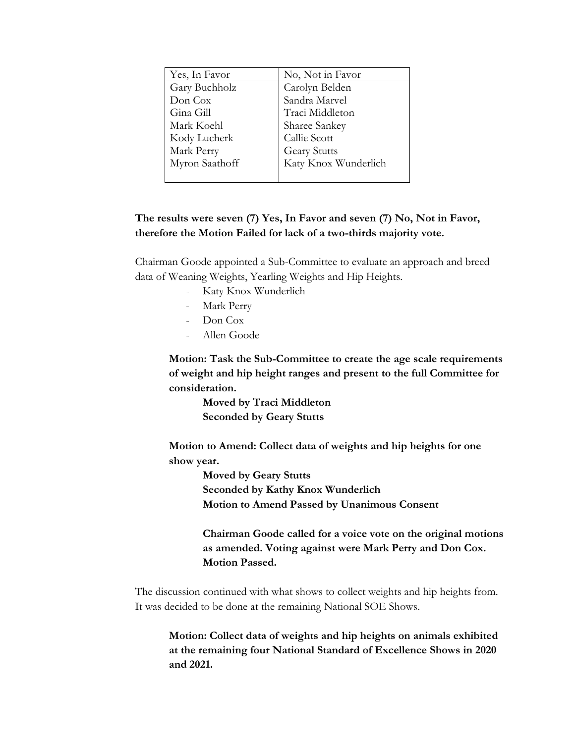| Yes, In Favor  | No, Not in Favor     |
|----------------|----------------------|
| Gary Buchholz  | Carolyn Belden       |
| Don Cox        | Sandra Marvel        |
| Gina Gill      | Traci Middleton      |
| Mark Koehl     | Sharee Sankey        |
| Kody Lucherk   | Callie Scott         |
| Mark Perry     | <b>Geary Stutts</b>  |
| Myron Saathoff | Katy Knox Wunderlich |
|                |                      |

### **The results were seven (7) Yes, In Favor and seven (7) No, Not in Favor, therefore the Motion Failed for lack of a two-thirds majority vote.**

Chairman Goode appointed a Sub-Committee to evaluate an approach and breed data of Weaning Weights, Yearling Weights and Hip Heights.

- Katy Knox Wunderlich
- Mark Perry
- Don Cox
- Allen Goode

**Motion: Task the Sub-Committee to create the age scale requirements of weight and hip height ranges and present to the full Committee for consideration.** 

> **Moved by Traci Middleton Seconded by Geary Stutts**

**Motion to Amend: Collect data of weights and hip heights for one show year.**

> **Moved by Geary Stutts Seconded by Kathy Knox Wunderlich Motion to Amend Passed by Unanimous Consent**

**Chairman Goode called for a voice vote on the original motions as amended. Voting against were Mark Perry and Don Cox. Motion Passed.**

The discussion continued with what shows to collect weights and hip heights from. It was decided to be done at the remaining National SOE Shows.

**Motion: Collect data of weights and hip heights on animals exhibited at the remaining four National Standard of Excellence Shows in 2020 and 2021.**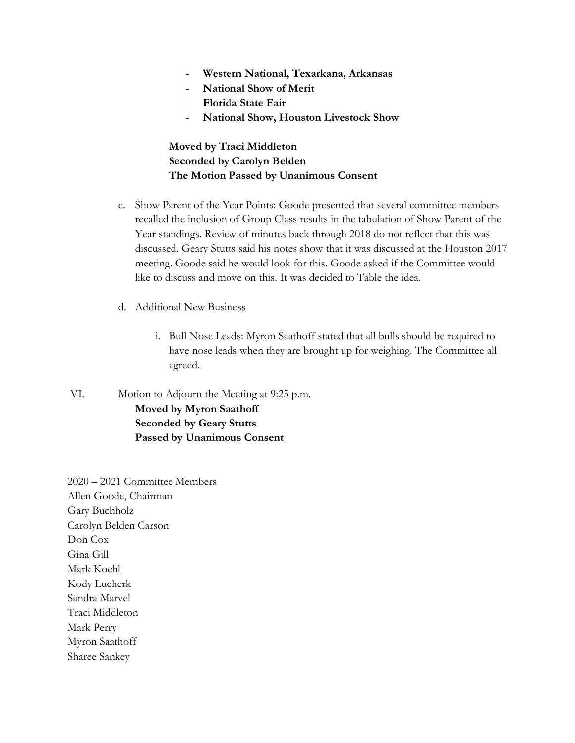- **Western National, Texarkana, Arkansas**
- **National Show of Merit**
- **Florida State Fair**
- **National Show, Houston Livestock Show**

## **Moved by Traci Middleton Seconded by Carolyn Belden The Motion Passed by Unanimous Consent**

- c. Show Parent of the Year Points: Goode presented that several committee members recalled the inclusion of Group Class results in the tabulation of Show Parent of the Year standings. Review of minutes back through 2018 do not reflect that this was discussed. Geary Stutts said his notes show that it was discussed at the Houston 2017 meeting. Goode said he would look for this. Goode asked if the Committee would like to discuss and move on this. It was decided to Table the idea.
- d. Additional New Business
	- i. Bull Nose Leads: Myron Saathoff stated that all bulls should be required to have nose leads when they are brought up for weighing. The Committee all agreed.
- VI. Motion to Adjourn the Meeting at 9:25 p.m. **Moved by Myron Saathoff Seconded by Geary Stutts Passed by Unanimous Consent**

2020 – 2021 Committee Members Allen Goode, Chairman Gary Buchholz Carolyn Belden Carson Don Cox Gina Gill Mark Koehl Kody Lucherk Sandra Marvel Traci Middleton Mark Perry Myron Saathoff Sharee Sankey